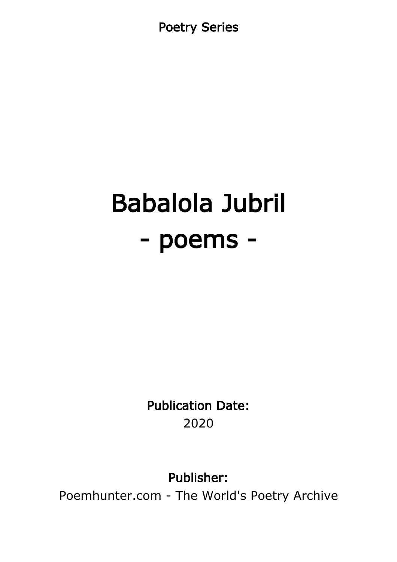Poetry Series

# Babalola Jubril - poems -

Publication Date: 2020

Publisher:

Poemhunter.com - The World's Poetry Archive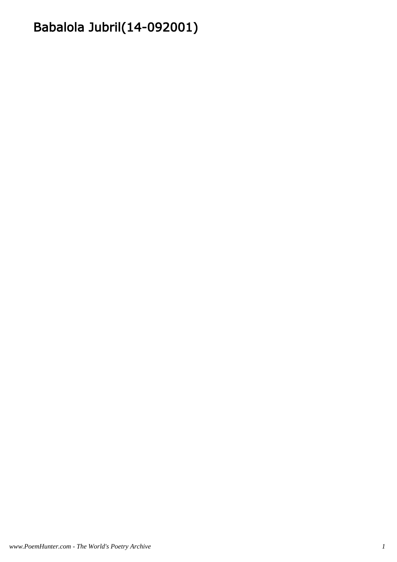# Babalola Jubril(14-092001)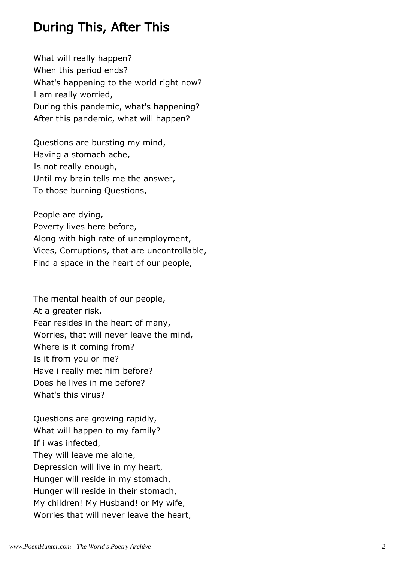#### During This, After This

What will really happen? When this period ends? What's happening to the world right now? I am really worried, During this pandemic, what's happening? After this pandemic, what will happen?

Questions are bursting my mind, Having a stomach ache, Is not really enough, Until my brain tells me the answer, To those burning Questions,

People are dying, Poverty lives here before, Along with high rate of unemployment, Vices, Corruptions, that are uncontrollable, Find a space in the heart of our people,

The mental health of our people, At a greater risk, Fear resides in the heart of many, Worries, that will never leave the mind, Where is it coming from? Is it from you or me? Have i really met him before? Does he lives in me before? What's this virus?

Questions are growing rapidly, What will happen to my family? If i was infected, They will leave me alone, Depression will live in my heart, Hunger will reside in my stomach, Hunger will reside in their stomach, My children! My Husband! or My wife, Worries that will never leave the heart,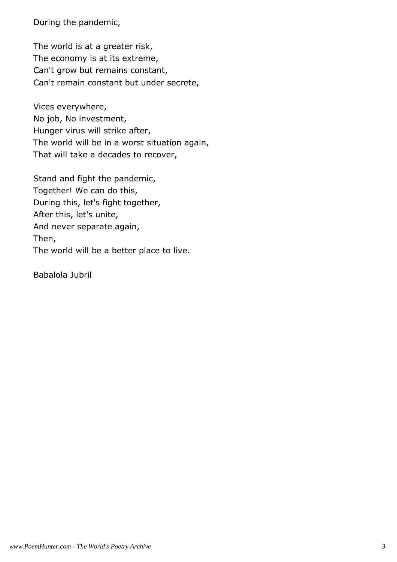During the pandemic,

The world is at a greater risk, The economy is at its extreme, Can't grow but remains constant, Can't remain constant but under secrete,

Vices everywhere, No job, No investment, Hunger virus will strike after, The world will be in a worst situation again, That will take a decades to recover,

Stand and fight the pandemic, Together! We can do this, During this, let's fight together, After this, let's unite, And never separate again, Then, The world will be a better place to live.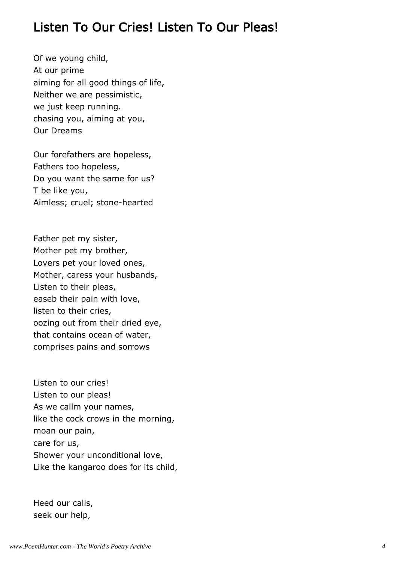#### Listen To Our Cries! Listen To Our Pleas!

Of we young child, At our prime aiming for all good things of life, Neither we are pessimistic, we just keep running. chasing you, aiming at you, Our Dreams

Our forefathers are hopeless, Fathers too hopeless, Do you want the same for us? T be like you, Aimless; cruel; stone-hearted

Father pet my sister, Mother pet my brother, Lovers pet your loved ones, Mother, caress your husbands, Listen to their pleas, easeb their pain with love, listen to their cries, oozing out from their dried eye, that contains ocean of water, comprises pains and sorrows

Listen to our cries! Listen to our pleas! As we callm your names, like the cock crows in the morning, moan our pain, care for us, Shower your unconditional love, Like the kangaroo does for its child,

Heed our calls, seek our help,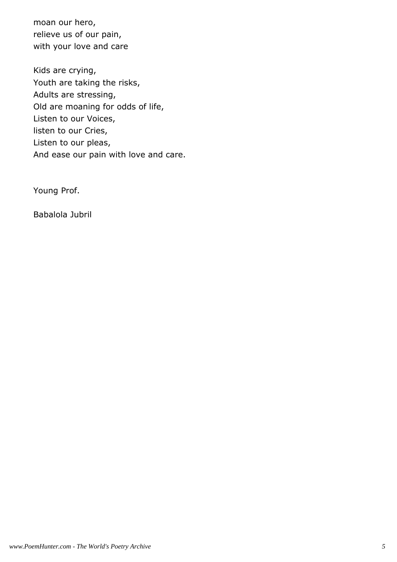moan our hero, relieve us of our pain, with your love and care

Kids are crying, Youth are taking the risks, Adults are stressing, Old are moaning for odds of life, Listen to our Voices, listen to our Cries, Listen to our pleas, And ease our pain with love and care.

Young Prof.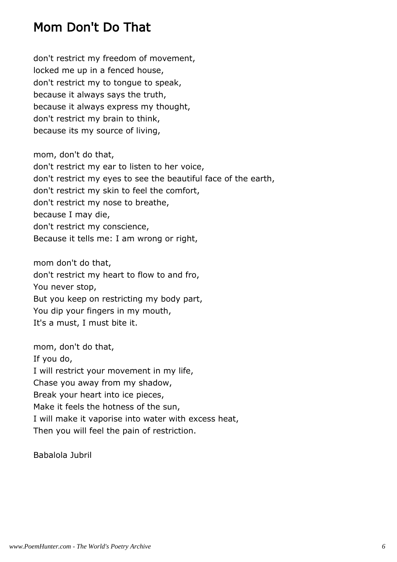# Mom Don't Do That

don't restrict my freedom of movement, locked me up in a fenced house, don't restrict my to tongue to speak, because it always says the truth, because it always express my thought, don't restrict my brain to think, because its my source of living,

mom, don't do that, don't restrict my ear to listen to her voice, don't restrict my eyes to see the beautiful face of the earth, don't restrict my skin to feel the comfort, don't restrict my nose to breathe, because I may die, don't restrict my conscience, Because it tells me: I am wrong or right,

mom don't do that, don't restrict my heart to flow to and fro, You never stop, But you keep on restricting my body part, You dip your fingers in my mouth, It's a must, I must bite it.

mom, don't do that, If you do, I will restrict your movement in my life, Chase you away from my shadow, Break your heart into ice pieces, Make it feels the hotness of the sun, I will make it vaporise into water with excess heat, Then you will feel the pain of restriction.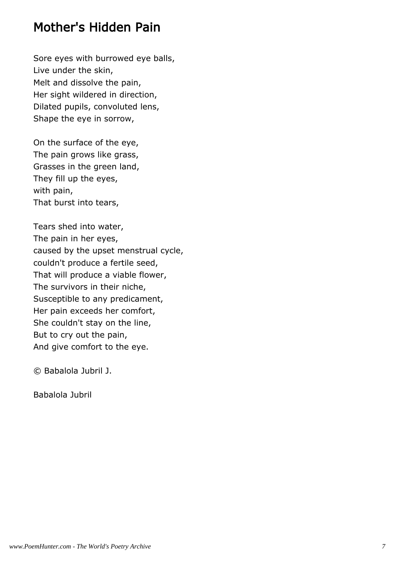#### Mother's Hidden Pain

Sore eyes with burrowed eye balls, Live under the skin, Melt and dissolve the pain, Her sight wildered in direction, Dilated pupils, convoluted lens, Shape the eye in sorrow,

On the surface of the eye, The pain grows like grass, Grasses in the green land, They fill up the eyes, with pain, That burst into tears,

Tears shed into water, The pain in her eyes, caused by the upset menstrual cycle, couldn't produce a fertile seed, That will produce a viable flower, The survivors in their niche, Susceptible to any predicament, Her pain exceeds her comfort, She couldn't stay on the line, But to cry out the pain, And give comfort to the eye.

© Babalola Jubril J.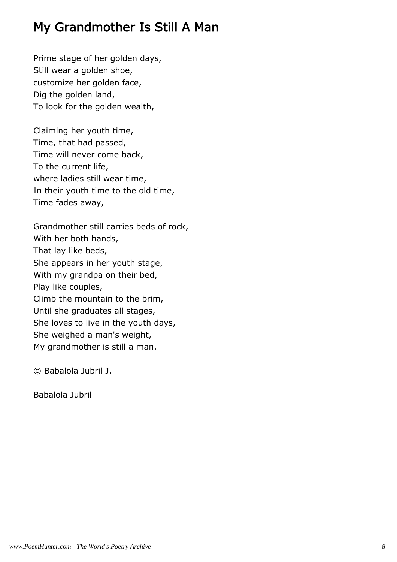## My Grandmother Is Still A Man

Prime stage of her golden days, Still wear a golden shoe, customize her golden face, Dig the golden land, To look for the golden wealth,

Claiming her youth time, Time, that had passed, Time will never come back, To the current life, where ladies still wear time, In their youth time to the old time, Time fades away,

Grandmother still carries beds of rock, With her both hands, That lay like beds, She appears in her youth stage, With my grandpa on their bed, Play like couples, Climb the mountain to the brim, Until she graduates all stages, She loves to live in the youth days, She weighed a man's weight, My grandmother is still a man.

© Babalola Jubril J.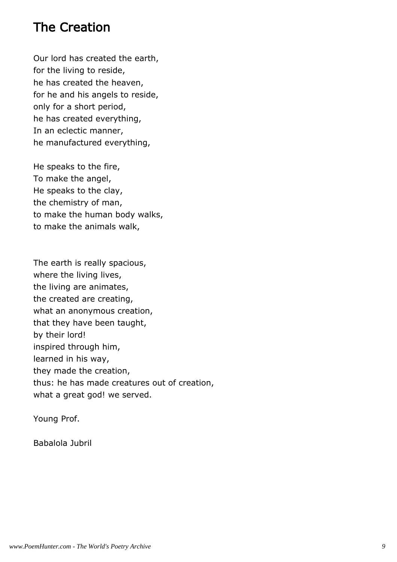#### The Creation

Our lord has created the earth, for the living to reside, he has created the heaven, for he and his angels to reside, only for a short period, he has created everything, In an eclectic manner, he manufactured everything,

He speaks to the fire, To make the angel, He speaks to the clay, the chemistry of man, to make the human body walks, to make the animals walk,

The earth is really spacious, where the living lives, the living are animates, the created are creating, what an anonymous creation, that they have been taught, by their lord! inspired through him, learned in his way, they made the creation, thus: he has made creatures out of creation, what a great god! we served.

Young Prof.